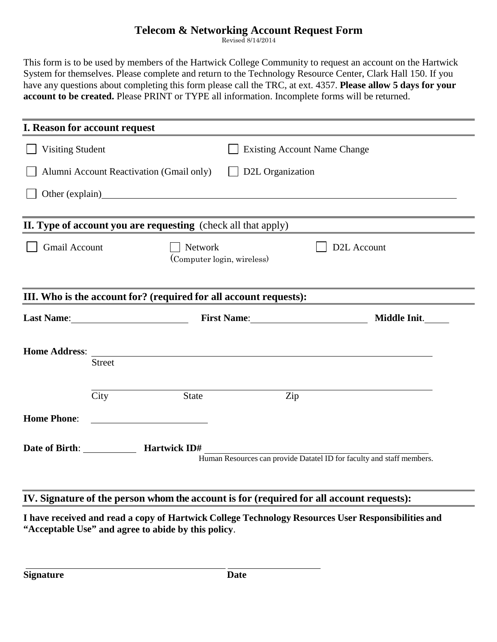## **Telecom & Networking Account Request Form**

Revised 8/14/2014

This form is to be used by members of the Hartwick College Community to request an account on the Hartwick System for themselves. Please complete and return to the Technology Resource Center, Clark Hall 150. If you have any questions about completing this form please call the TRC, at ext. 4357. **Please allow 5 days for your account to be created.** Please PRINT or TYPE all information. Incomplete forms will be returned.

|         | <b>Existing Account Name Change</b>      |                                                                                                                                                                                                                                                                                                                             |  |
|---------|------------------------------------------|-----------------------------------------------------------------------------------------------------------------------------------------------------------------------------------------------------------------------------------------------------------------------------------------------------------------------------|--|
|         | D2L Organization                         |                                                                                                                                                                                                                                                                                                                             |  |
|         |                                          |                                                                                                                                                                                                                                                                                                                             |  |
|         |                                          |                                                                                                                                                                                                                                                                                                                             |  |
| Network |                                          | D <sub>2</sub> L Account                                                                                                                                                                                                                                                                                                    |  |
|         |                                          |                                                                                                                                                                                                                                                                                                                             |  |
|         |                                          | Middle Init.                                                                                                                                                                                                                                                                                                                |  |
|         |                                          |                                                                                                                                                                                                                                                                                                                             |  |
|         |                                          |                                                                                                                                                                                                                                                                                                                             |  |
| State   | Zip                                      |                                                                                                                                                                                                                                                                                                                             |  |
|         |                                          |                                                                                                                                                                                                                                                                                                                             |  |
|         |                                          |                                                                                                                                                                                                                                                                                                                             |  |
|         | Alumni Account Reactivation (Gmail only) | Other (explain) Other (explain)<br>II. Type of account you are requesting (check all that apply)<br>(Computer login, wireless)<br>III. Who is the account for? (required for all account requests):<br><u> 1980 - Jan Samuel Barbara, martin da shekara tsara 1980 - An tsara 1980 - An tsara 1980 - An tsara 1980 - An</u> |  |

## **IV. Signature of the person whom the account is for (required for all account requests):**

**I have received and read a copy of Hartwick College Technology Resources User Responsibilities and "Acceptable Use" and agree to abide by this policy**.

**Signature** Date